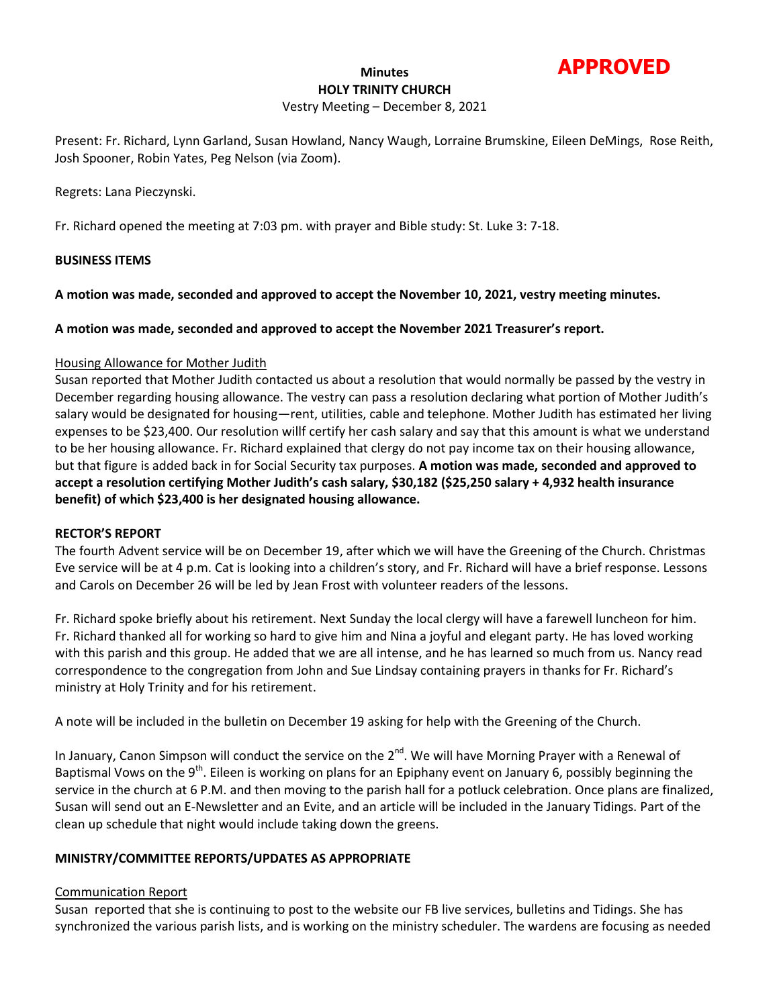

### **Minutes HOLY TRINITY CHURCH**

## Vestry Meeting – December 8, 2021

Present: Fr. Richard, Lynn Garland, Susan Howland, Nancy Waugh, Lorraine Brumskine, Eileen DeMings, Rose Reith, Josh Spooner, Robin Yates, Peg Nelson (via Zoom).

Regrets: Lana Pieczynski.

Fr. Richard opened the meeting at 7:03 pm. with prayer and Bible study: St. Luke 3: 7-18.

## **BUSINESS ITEMS**

**A motion was made, seconded and approved to accept the November 10, 2021, vestry meeting minutes.**

## **A motion was made, seconded and approved to accept the November 2021 Treasurer's report.**

### Housing Allowance for Mother Judith

Susan reported that Mother Judith contacted us about a resolution that would normally be passed by the vestry in December regarding housing allowance. The vestry can pass a resolution declaring what portion of Mother Judith's salary would be designated for housing—rent, utilities, cable and telephone. Mother Judith has estimated her living expenses to be \$23,400. Our resolution willf certify her cash salary and say that this amount is what we understand to be her housing allowance. Fr. Richard explained that clergy do not pay income tax on their housing allowance, but that figure is added back in for Social Security tax purposes. **A motion was made, seconded and approved to accept a resolution certifying Mother Judith's cash salary, \$30,182 (\$25,250 salary + 4,932 health insurance benefit) of which \$23,400 is her designated housing allowance.**

### **RECTOR'S REPORT**

The fourth Advent service will be on December 19, after which we will have the Greening of the Church. Christmas Eve service will be at 4 p.m. Cat is looking into a children's story, and Fr. Richard will have a brief response. Lessons and Carols on December 26 will be led by Jean Frost with volunteer readers of the lessons.

Fr. Richard spoke briefly about his retirement. Next Sunday the local clergy will have a farewell luncheon for him. Fr. Richard thanked all for working so hard to give him and Nina a joyful and elegant party. He has loved working with this parish and this group. He added that we are all intense, and he has learned so much from us. Nancy read correspondence to the congregation from John and Sue Lindsay containing prayers in thanks for Fr. Richard's ministry at Holy Trinity and for his retirement.

A note will be included in the bulletin on December 19 asking for help with the Greening of the Church.

In January, Canon Simpson will conduct the service on the  $2^{nd}$ . We will have Morning Prayer with a Renewal of Baptismal Vows on the 9<sup>th</sup>. Eileen is working on plans for an Epiphany event on January 6, possibly beginning the service in the church at 6 P.M. and then moving to the parish hall for a potluck celebration. Once plans are finalized, Susan will send out an E-Newsletter and an Evite, and an article will be included in the January Tidings. Part of the clean up schedule that night would include taking down the greens.

# **MINISTRY/COMMITTEE REPORTS/UPDATES AS APPROPRIATE**

# Communication Report

Susan reported that she is continuing to post to the website our FB live services, bulletins and Tidings. She has synchronized the various parish lists, and is working on the ministry scheduler. The wardens are focusing as needed